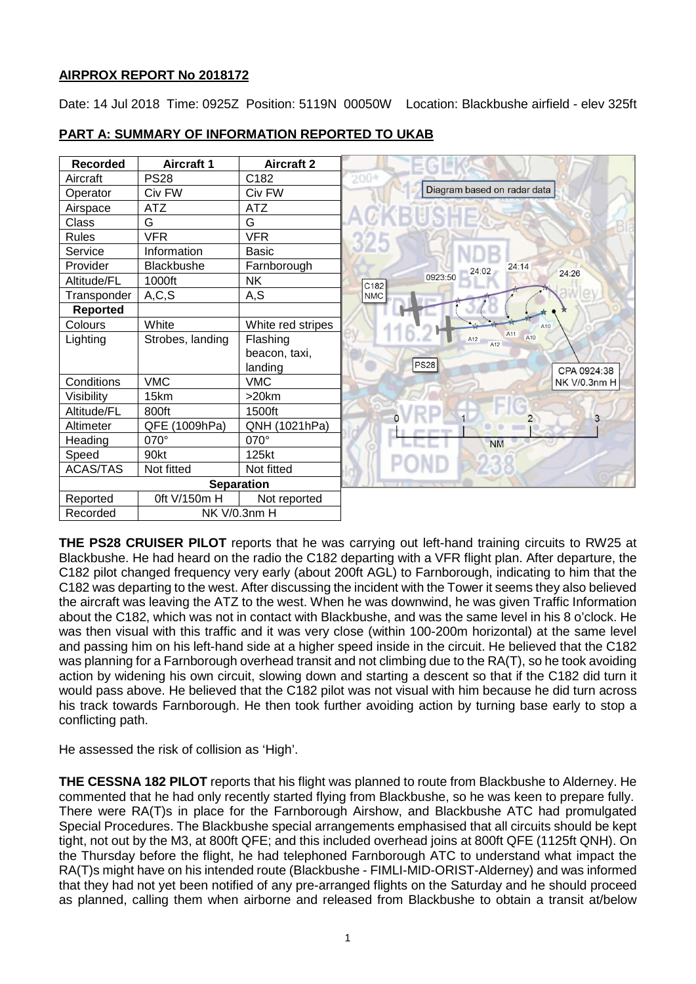# **AIRPROX REPORT No 2018172**

Date: 14 Jul 2018 Time: 0925Z Position: 5119N 00050W Location: Blackbushe airfield - elev 325ft

| <b>Recorded</b>          | <b>Aircraft 1</b> | <b>Aircraft 2</b> |        |             |                             |            |              |
|--------------------------|-------------------|-------------------|--------|-------------|-----------------------------|------------|--------------|
| Aircraft                 | <b>PS28</b>       | C182              | $200+$ |             |                             |            |              |
| Operator                 | Civ FW            | Civ FW            |        |             | Diagram based on radar data |            |              |
| Airspace                 | <b>ATZ</b>        | <b>ATZ</b>        |        |             |                             |            |              |
| <b>Class</b>             | G                 | G                 |        |             |                             |            |              |
| <b>Rules</b>             | <b>VFR</b>        | <b>VFR</b>        |        |             |                             |            |              |
| Service                  | Information       | <b>Basic</b>      |        |             |                             |            |              |
| Provider                 | Blackbushe        | Farnborough       |        |             | 24:02                       | 24:14      | 24:26        |
| Altitude/FL              | 1000ft            | <b>NK</b>         | C182   | 0923:50     |                             |            |              |
| Transponder              | A, C, S           | A, S              | NMC    |             |                             |            |              |
| Reported                 |                   |                   |        |             |                             |            |              |
| Colours                  | White             | White red stripes |        |             |                             | A10        |              |
| Lighting                 | Strobes, landing  | Flashing          |        |             | A12<br>A12                  | A11<br>A10 |              |
|                          |                   | beacon, taxi,     |        |             |                             |            |              |
|                          |                   | landing           |        | <b>PS28</b> |                             |            | CPA 0924:38  |
| Conditions               | <b>VMC</b>        | <b>VMC</b>        |        |             |                             |            | NK V/0.3nm H |
| Visibility               | 15km              | $>20$ km          |        |             |                             |            |              |
| Altitude/FL              | 800ft             | 1500ft            |        |             |                             |            | 3            |
| Altimeter                | QFE (1009hPa)     | QNH (1021hPa)     |        |             |                             |            |              |
| Heading                  | 070°              | 070°              |        |             | <b>NM</b>                   |            |              |
| Speed                    | 90kt              | 125kt             |        |             |                             |            |              |
| <b>ACAS/TAS</b>          | Not fitted        | Not fitted        |        |             |                             |            |              |
|                          |                   |                   |        |             |                             |            |              |
| Reported                 | 0ft V/150m H      | Not reported      |        |             |                             |            |              |
| NK V/0.3nm H<br>Recorded |                   |                   |        |             |                             |            |              |

# **PART A: SUMMARY OF INFORMATION REPORTED TO UKAB**

**THE PS28 CRUISER PILOT** reports that he was carrying out left-hand training circuits to RW25 at Blackbushe. He had heard on the radio the C182 departing with a VFR flight plan. After departure, the C182 pilot changed frequency very early (about 200ft AGL) to Farnborough, indicating to him that the C182 was departing to the west. After discussing the incident with the Tower it seems they also believed the aircraft was leaving the ATZ to the west. When he was downwind, he was given Traffic Information about the C182, which was not in contact with Blackbushe, and was the same level in his 8 o'clock. He was then visual with this traffic and it was very close (within 100-200m horizontal) at the same level and passing him on his left-hand side at a higher speed inside in the circuit. He believed that the C182 was planning for a Farnborough overhead transit and not climbing due to the RA(T), so he took avoiding action by widening his own circuit, slowing down and starting a descent so that if the C182 did turn it would pass above. He believed that the C182 pilot was not visual with him because he did turn across his track towards Farnborough. He then took further avoiding action by turning base early to stop a conflicting path.

He assessed the risk of collision as 'High'.

**THE CESSNA 182 PILOT** reports that his flight was planned to route from Blackbushe to Alderney. He commented that he had only recently started flying from Blackbushe, so he was keen to prepare fully. There were RA(T)s in place for the Farnborough Airshow, and Blackbushe ATC had promulgated Special Procedures. The Blackbushe special arrangements emphasised that all circuits should be kept tight, not out by the M3, at 800ft QFE; and this included overhead joins at 800ft QFE (1125ft QNH). On the Thursday before the flight, he had telephoned Farnborough ATC to understand what impact the RA(T)s might have on his intended route (Blackbushe - FIMLI-MID-ORIST-Alderney) and was informed that they had not yet been notified of any pre-arranged flights on the Saturday and he should proceed as planned, calling them when airborne and released from Blackbushe to obtain a transit at/below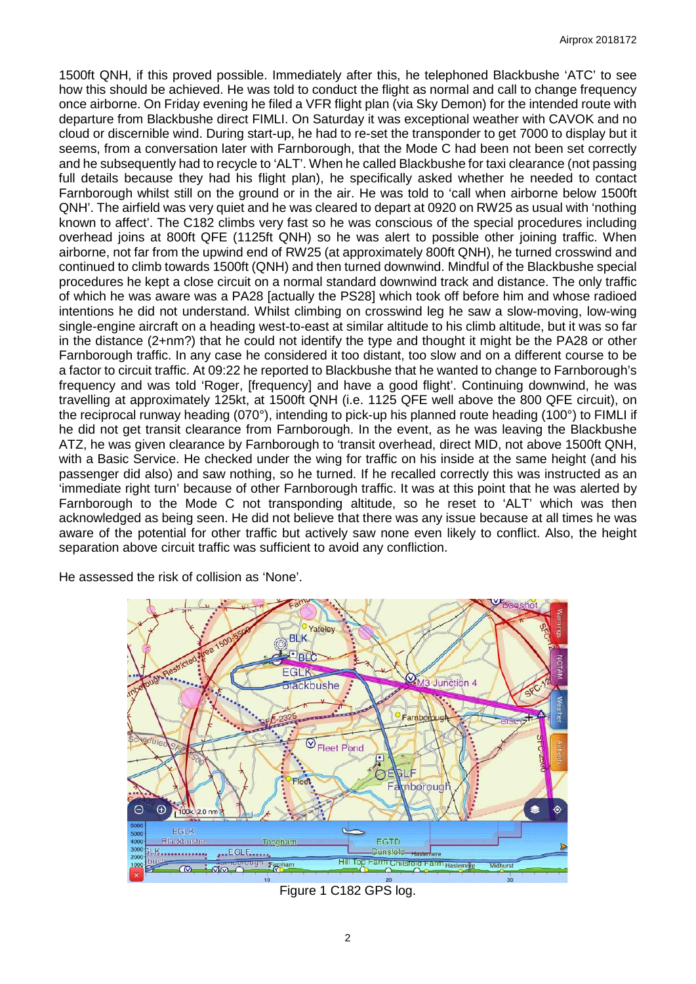1500ft QNH, if this proved possible. Immediately after this, he telephoned Blackbushe 'ATC' to see how this should be achieved. He was told to conduct the flight as normal and call to change frequency once airborne. On Friday evening he filed a VFR flight plan (via Sky Demon) for the intended route with departure from Blackbushe direct FIMLI. On Saturday it was exceptional weather with CAVOK and no cloud or discernible wind. During start-up, he had to re-set the transponder to get 7000 to display but it seems, from a conversation later with Farnborough, that the Mode C had been not been set correctly and he subsequently had to recycle to 'ALT'. When he called Blackbushe for taxi clearance (not passing full details because they had his flight plan), he specifically asked whether he needed to contact Farnborough whilst still on the ground or in the air. He was told to 'call when airborne below 1500ft QNH'. The airfield was very quiet and he was cleared to depart at 0920 on RW25 as usual with 'nothing known to affect'. The C182 climbs very fast so he was conscious of the special procedures including overhead joins at 800ft QFE (1125ft QNH) so he was alert to possible other joining traffic. When airborne, not far from the upwind end of RW25 (at approximately 800ft QNH), he turned crosswind and continued to climb towards 1500ft (QNH) and then turned downwind. Mindful of the Blackbushe special procedures he kept a close circuit on a normal standard downwind track and distance. The only traffic of which he was aware was a PA28 [actually the PS28] which took off before him and whose radioed intentions he did not understand. Whilst climbing on crosswind leg he saw a slow-moving, low-wing single-engine aircraft on a heading west-to-east at similar altitude to his climb altitude, but it was so far in the distance (2+nm?) that he could not identify the type and thought it might be the PA28 or other Farnborough traffic. In any case he considered it too distant, too slow and on a different course to be a factor to circuit traffic. At 09:22 he reported to Blackbushe that he wanted to change to Farnborough's frequency and was told 'Roger, [frequency] and have a good flight'. Continuing downwind, he was travelling at approximately 125kt, at 1500ft QNH (i.e. 1125 QFE well above the 800 QFE circuit), on the reciprocal runway heading (070°), intending to pick-up his planned route heading (100°) to FIMLI if he did not get transit clearance from Farnborough. In the event, as he was leaving the Blackbushe ATZ, he was given clearance by Farnborough to 'transit overhead, direct MID, not above 1500ft QNH, with a Basic Service. He checked under the wing for traffic on his inside at the same height (and his passenger did also) and saw nothing, so he turned. If he recalled correctly this was instructed as an 'immediate right turn' because of other Farnborough traffic. It was at this point that he was alerted by Farnborough to the Mode C not transponding altitude, so he reset to 'ALT' which was then acknowledged as being seen. He did not believe that there was any issue because at all times he was aware of the potential for other traffic but actively saw none even likely to conflict. Also, the height separation above circuit traffic was sufficient to avoid any confliction.

He assessed the risk of collision as 'None'.



Figure 1 C182 GPS log.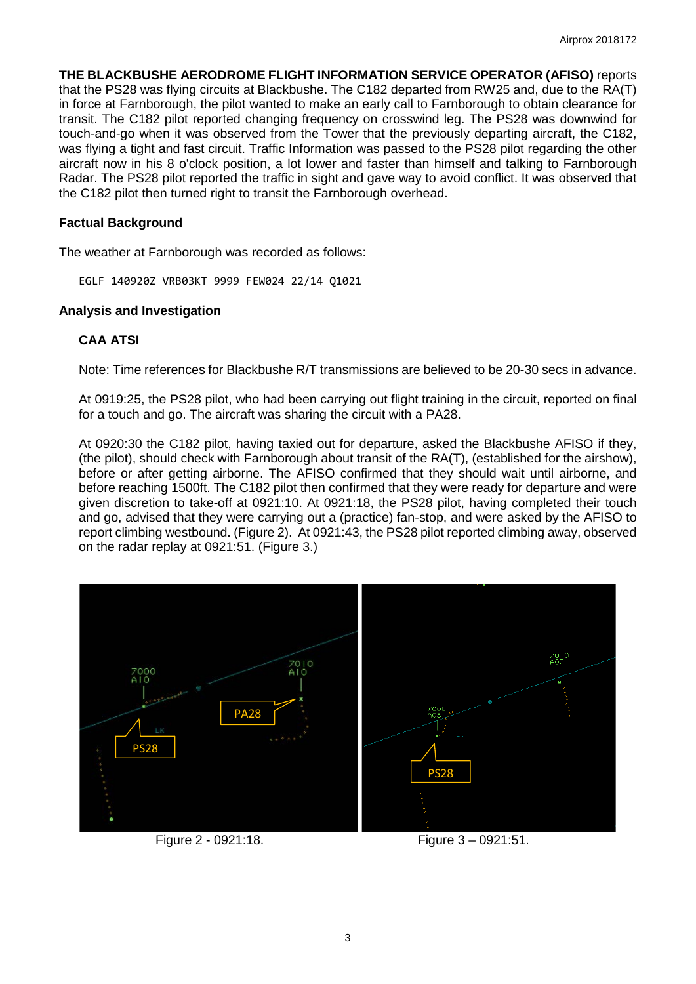**THE BLACKBUSHE AERODROME FLIGHT INFORMATION SERVICE OPERATOR (AFISO)** reports that the PS28 was flying circuits at Blackbushe. The C182 departed from RW25 and, due to the RA(T) in force at Farnborough, the pilot wanted to make an early call to Farnborough to obtain clearance for transit. The C182 pilot reported changing frequency on crosswind leg. The PS28 was downwind for touch-and-go when it was observed from the Tower that the previously departing aircraft, the C182, was flying a tight and fast circuit. Traffic Information was passed to the PS28 pilot regarding the other aircraft now in his 8 o'clock position, a lot lower and faster than himself and talking to Farnborough Radar. The PS28 pilot reported the traffic in sight and gave way to avoid conflict. It was observed that the C182 pilot then turned right to transit the Farnborough overhead.

### **Factual Background**

The weather at Farnborough was recorded as follows:

EGLF 140920Z VRB03KT 9999 FEW024 22/14 Q1021

#### **Analysis and Investigation**

## **CAA ATSI**

Note: Time references for Blackbushe R/T transmissions are believed to be 20-30 secs in advance.

At 0919:25, the PS28 pilot, who had been carrying out flight training in the circuit, reported on final for a touch and go. The aircraft was sharing the circuit with a PA28.

At 0920:30 the C182 pilot, having taxied out for departure, asked the Blackbushe AFISO if they, (the pilot), should check with Farnborough about transit of the RA(T), (established for the airshow), before or after getting airborne. The AFISO confirmed that they should wait until airborne, and before reaching 1500ft. The C182 pilot then confirmed that they were ready for departure and were given discretion to take-off at 0921:10. At 0921:18, the PS28 pilot, having completed their touch and go, advised that they were carrying out a (practice) fan-stop, and were asked by the AFISO to report climbing westbound. (Figure 2). At 0921:43, the PS28 pilot reported climbing away, observed on the radar replay at 0921:51. (Figure 3.)



Figure 2 - 0921:18. Figure 3 – 0921:51.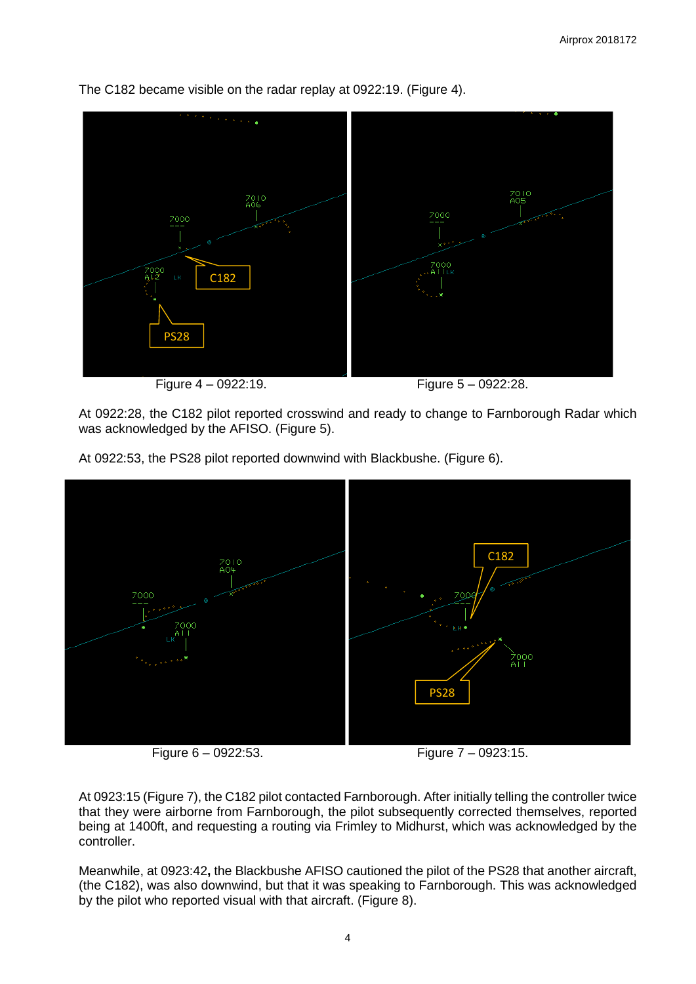

The C182 became visible on the radar replay at 0922:19. (Figure 4).

At 0922:28, the C182 pilot reported crosswind and ready to change to Farnborough Radar which was acknowledged by the AFISO. (Figure 5).

At 0922:53, the PS28 pilot reported downwind with Blackbushe. (Figure 6).



Figure 6 – 0922:53. Figure 7 – 0923:15.

At 0923:15 (Figure 7), the C182 pilot contacted Farnborough. After initially telling the controller twice that they were airborne from Farnborough, the pilot subsequently corrected themselves, reported being at 1400ft, and requesting a routing via Frimley to Midhurst, which was acknowledged by the controller.

Meanwhile, at 0923:42**,** the Blackbushe AFISO cautioned the pilot of the PS28 that another aircraft, (the C182), was also downwind, but that it was speaking to Farnborough. This was acknowledged by the pilot who reported visual with that aircraft. (Figure 8).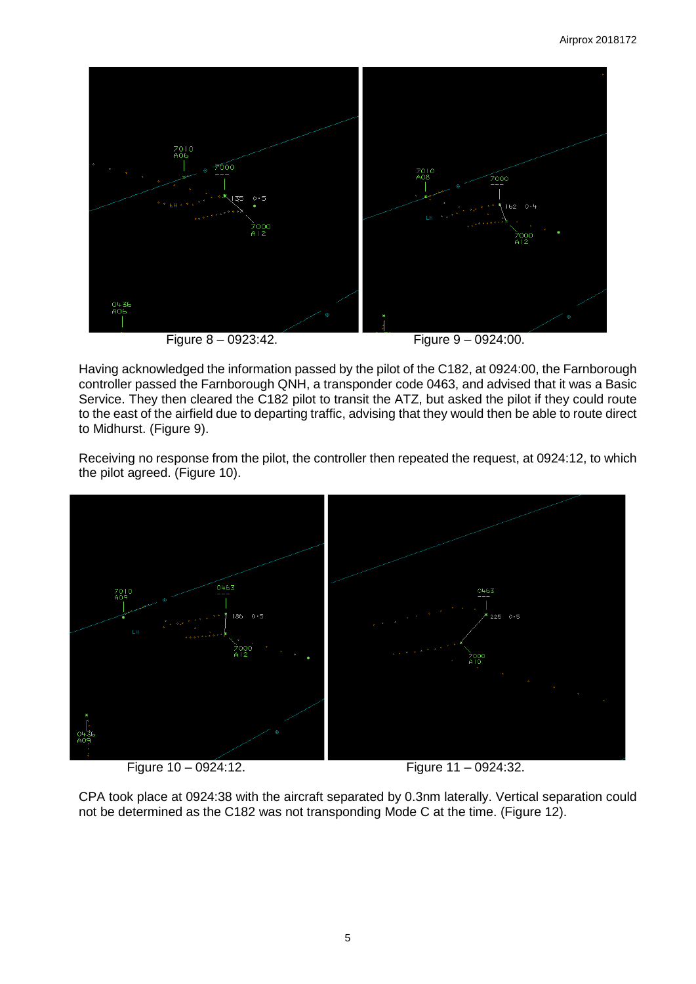

Having acknowledged the information passed by the pilot of the C182, at 0924:00, the Farnborough controller passed the Farnborough QNH, a transponder code 0463, and advised that it was a Basic Service. They then cleared the C182 pilot to transit the ATZ, but asked the pilot if they could route to the east of the airfield due to departing traffic, advising that they would then be able to route direct to Midhurst. (Figure 9).

Receiving no response from the pilot, the controller then repeated the request, at 0924:12, to which the pilot agreed. (Figure 10).



Figure 10 – 0924:12. Figure 11 – 0924:32.

CPA took place at 0924:38 with the aircraft separated by 0.3nm laterally. Vertical separation could not be determined as the C182 was not transponding Mode C at the time. (Figure 12).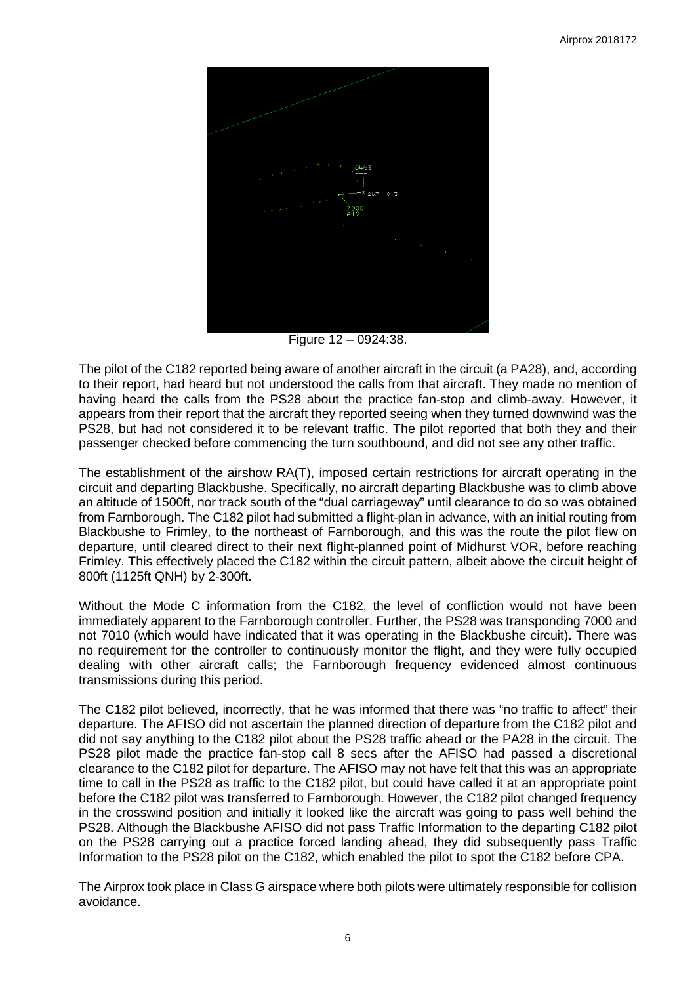

Figure 12 – 0924:38.

The pilot of the C182 reported being aware of another aircraft in the circuit (a PA28), and, according to their report, had heard but not understood the calls from that aircraft. They made no mention of having heard the calls from the PS28 about the practice fan-stop and climb-away. However, it appears from their report that the aircraft they reported seeing when they turned downwind was the PS28, but had not considered it to be relevant traffic. The pilot reported that both they and their passenger checked before commencing the turn southbound, and did not see any other traffic.

The establishment of the airshow RA(T), imposed certain restrictions for aircraft operating in the circuit and departing Blackbushe. Specifically, no aircraft departing Blackbushe was to climb above an altitude of 1500ft, nor track south of the "dual carriageway" until clearance to do so was obtained from Farnborough. The C182 pilot had submitted a flight-plan in advance, with an initial routing from Blackbushe to Frimley, to the northeast of Farnborough, and this was the route the pilot flew on departure, until cleared direct to their next flight-planned point of Midhurst VOR, before reaching Frimley. This effectively placed the C182 within the circuit pattern, albeit above the circuit height of 800ft (1125ft QNH) by 2-300ft.

Without the Mode C information from the C182, the level of confliction would not have been immediately apparent to the Farnborough controller. Further, the PS28 was transponding 7000 and not 7010 (which would have indicated that it was operating in the Blackbushe circuit). There was no requirement for the controller to continuously monitor the flight, and they were fully occupied dealing with other aircraft calls; the Farnborough frequency evidenced almost continuous transmissions during this period.

The C182 pilot believed, incorrectly, that he was informed that there was "no traffic to affect" their departure. The AFISO did not ascertain the planned direction of departure from the C182 pilot and did not say anything to the C182 pilot about the PS28 traffic ahead or the PA28 in the circuit. The PS28 pilot made the practice fan-stop call 8 secs after the AFISO had passed a discretional clearance to the C182 pilot for departure. The AFISO may not have felt that this was an appropriate time to call in the PS28 as traffic to the C182 pilot, but could have called it at an appropriate point before the C182 pilot was transferred to Farnborough. However, the C182 pilot changed frequency in the crosswind position and initially it looked like the aircraft was going to pass well behind the PS28. Although the Blackbushe AFISO did not pass Traffic Information to the departing C182 pilot on the PS28 carrying out a practice forced landing ahead, they did subsequently pass Traffic Information to the PS28 pilot on the C182, which enabled the pilot to spot the C182 before CPA.

The Airprox took place in Class G airspace where both pilots were ultimately responsible for collision avoidance.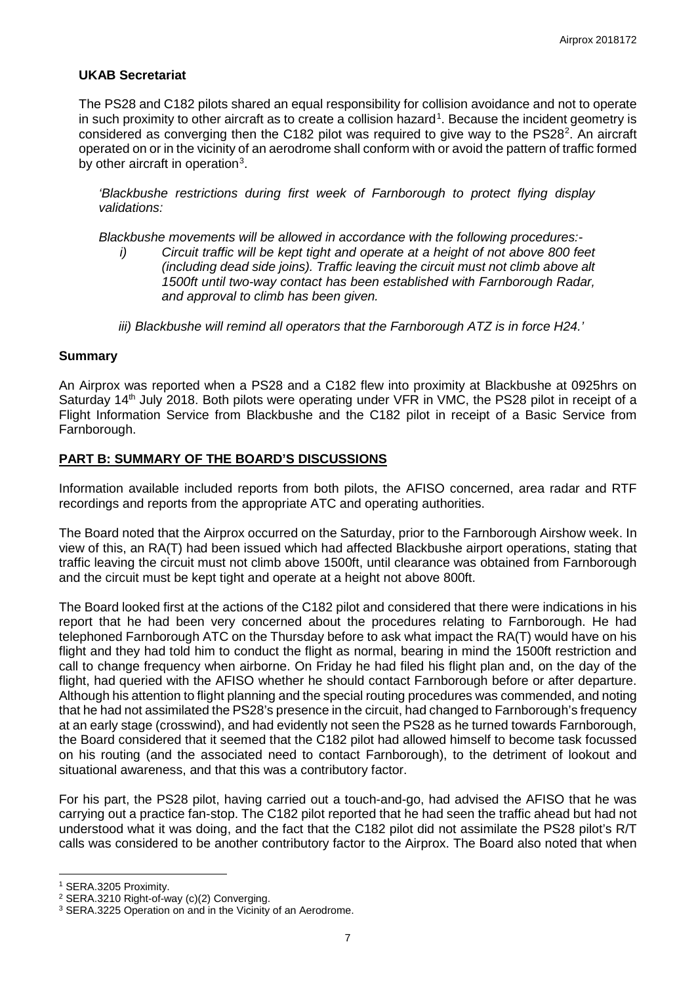### **UKAB Secretariat**

The PS28 and C182 pilots shared an equal responsibility for collision avoidance and not to operate in such proximity to other aircraft as to create a collision hazard<sup>[1](#page-6-0)</sup>. Because the incident geometry is considered as converging then the C18[2](#page-6-1) pilot was required to give way to the  $PS28<sup>2</sup>$ . An aircraft operated on or in the vicinity of an aerodrome shall conform with or avoid the pattern of traffic formed by other aircraft in operation<sup>[3](#page-6-2)</sup>.

*'Blackbushe restrictions during first week of Farnborough to protect flying display validations:*

*Blackbushe movements will be allowed in accordance with the following procedures:-*

*i) Circuit traffic will be kept tight and operate at a height of not above 800 feet (including dead side joins). Traffic leaving the circuit must not climb above alt 1500ft until two-way contact has been established with Farnborough Radar, and approval to climb has been given.* 

*iii) Blackbushe will remind all operators that the Farnborough ATZ is in force H24.'*

#### **Summary**

An Airprox was reported when a PS28 and a C182 flew into proximity at Blackbushe at 0925hrs on Saturday 14<sup>th</sup> July 2018. Both pilots were operating under VFR in VMC, the PS28 pilot in receipt of a Flight Information Service from Blackbushe and the C182 pilot in receipt of a Basic Service from Farnborough.

#### **PART B: SUMMARY OF THE BOARD'S DISCUSSIONS**

Information available included reports from both pilots, the AFISO concerned, area radar and RTF recordings and reports from the appropriate ATC and operating authorities.

The Board noted that the Airprox occurred on the Saturday, prior to the Farnborough Airshow week. In view of this, an RA(T) had been issued which had affected Blackbushe airport operations, stating that traffic leaving the circuit must not climb above 1500ft, until clearance was obtained from Farnborough and the circuit must be kept tight and operate at a height not above 800ft.

The Board looked first at the actions of the C182 pilot and considered that there were indications in his report that he had been very concerned about the procedures relating to Farnborough. He had telephoned Farnborough ATC on the Thursday before to ask what impact the RA(T) would have on his flight and they had told him to conduct the flight as normal, bearing in mind the 1500ft restriction and call to change frequency when airborne. On Friday he had filed his flight plan and, on the day of the flight, had queried with the AFISO whether he should contact Farnborough before or after departure. Although his attention to flight planning and the special routing procedures was commended, and noting that he had not assimilated the PS28's presence in the circuit, had changed to Farnborough's frequency at an early stage (crosswind), and had evidently not seen the PS28 as he turned towards Farnborough, the Board considered that it seemed that the C182 pilot had allowed himself to become task focussed on his routing (and the associated need to contact Farnborough), to the detriment of lookout and situational awareness, and that this was a contributory factor.

For his part, the PS28 pilot, having carried out a touch-and-go, had advised the AFISO that he was carrying out a practice fan-stop. The C182 pilot reported that he had seen the traffic ahead but had not understood what it was doing, and the fact that the C182 pilot did not assimilate the PS28 pilot's R/T calls was considered to be another contributory factor to the Airprox. The Board also noted that when

 $\overline{\phantom{a}}$ 

<span id="page-6-0"></span><sup>1</sup> SERA.3205 Proximity.

<span id="page-6-1"></span><sup>2</sup> SERA.3210 Right-of-way (c)(2) Converging.

<span id="page-6-2"></span><sup>&</sup>lt;sup>3</sup> SERA.3225 Operation on and in the Vicinity of an Aerodrome.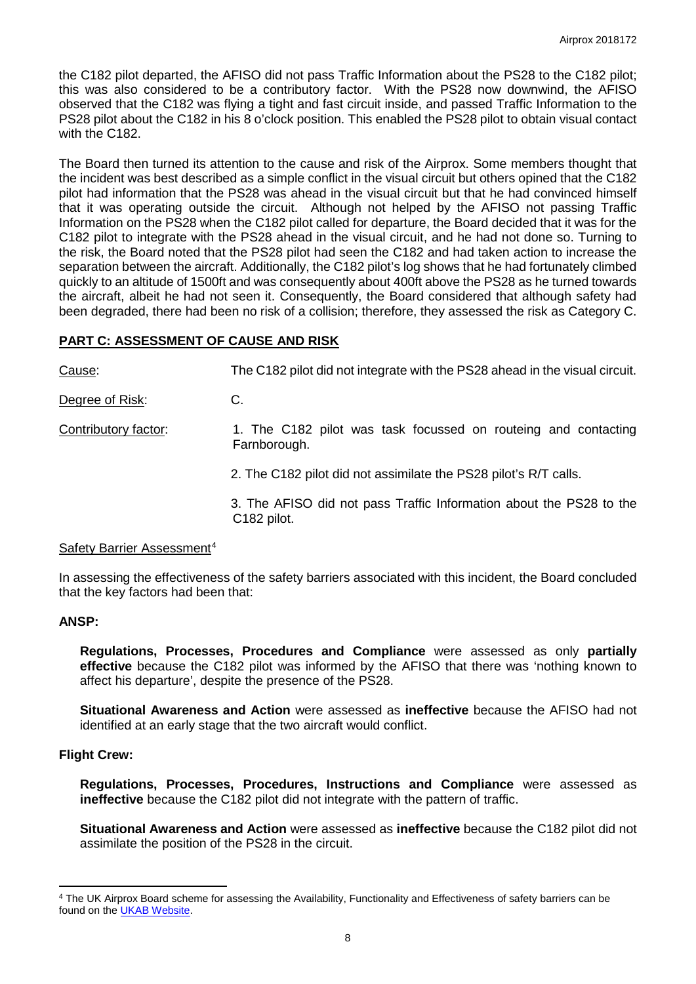the C182 pilot departed, the AFISO did not pass Traffic Information about the PS28 to the C182 pilot; this was also considered to be a contributory factor. With the PS28 now downwind, the AFISO observed that the C182 was flying a tight and fast circuit inside, and passed Traffic Information to the PS28 pilot about the C182 in his 8 o'clock position. This enabled the PS28 pilot to obtain visual contact with the C182.

The Board then turned its attention to the cause and risk of the Airprox. Some members thought that the incident was best described as a simple conflict in the visual circuit but others opined that the C182 pilot had information that the PS28 was ahead in the visual circuit but that he had convinced himself that it was operating outside the circuit. Although not helped by the AFISO not passing Traffic Information on the PS28 when the C182 pilot called for departure, the Board decided that it was for the C182 pilot to integrate with the PS28 ahead in the visual circuit, and he had not done so. Turning to the risk, the Board noted that the PS28 pilot had seen the C182 and had taken action to increase the separation between the aircraft. Additionally, the C182 pilot's log shows that he had fortunately climbed quickly to an altitude of 1500ft and was consequently about 400ft above the PS28 as he turned towards the aircraft, albeit he had not seen it. Consequently, the Board considered that although safety had been degraded, there had been no risk of a collision; therefore, they assessed the risk as Category C.

#### **PART C: ASSESSMENT OF CAUSE AND RISK**

Cause: The C182 pilot did not integrate with the PS28 ahead in the visual circuit.

Degree of Risk: C.

Contributory factor: 1. The C182 pilot was task focussed on routeing and contacting Farnborough.

2. The C182 pilot did not assimilate the PS28 pilot's R/T calls.

3. The AFISO did not pass Traffic Information about the PS28 to the C182 pilot.

#### Safety Barrier Assessment<sup>[4](#page-7-0)</sup>

In assessing the effectiveness of the safety barriers associated with this incident, the Board concluded that the key factors had been that:

#### **ANSP:**

**Regulations, Processes, Procedures and Compliance** were assessed as only **partially effective** because the C182 pilot was informed by the AFISO that there was 'nothing known to affect his departure', despite the presence of the PS28.

**Situational Awareness and Action** were assessed as **ineffective** because the AFISO had not identified at an early stage that the two aircraft would conflict.

#### **Flight Crew:**

l

**Regulations, Processes, Procedures, Instructions and Compliance** were assessed as **ineffective** because the C182 pilot did not integrate with the pattern of traffic.

**Situational Awareness and Action** were assessed as **ineffective** because the C182 pilot did not assimilate the position of the PS28 in the circuit.

<span id="page-7-0"></span><sup>4</sup> The UK Airprox Board scheme for assessing the Availability, Functionality and Effectiveness of safety barriers can be found on the **UKAB Website**.